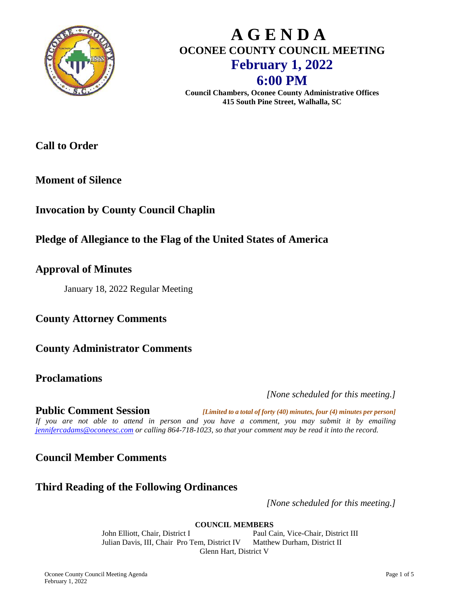

# **A G E N D A OCONEE COUNTY COUNCIL MEETING February 1, 2022 6:00 PM**

**Council Chambers, Oconee County Administrative Offices 415 South Pine Street, Walhalla, SC**

# **Call to Order**

**Moment of Silence**

# **Invocation by County Council Chaplin**

# **Pledge of Allegiance to the Flag of the United States of America**

#### **Approval of Minutes**

January 18, 2022 Regular Meeting

**County Attorney Comments**

**County Administrator Comments**

#### **Proclamations**

*[None scheduled for this meeting.]*

**Public Comment Session** *[Limited to a total of forty (40) minutes, four (4) minutes per person] If you are not able to attend in person and you have a comment, you may submit it by emailing [jennifercadams@oconeesc.com](mailto:jennifercadams@oconeesc.com) or calling 864-718-1023, so that your comment may be read it into the record.*

**Council Member Comments**

### **Third Reading of the Following Ordinances**

*[None scheduled for this meeting.]*

**COUNCIL MEMBERS**

John Elliott, Chair, District I Paul Cain, Vice-Chair, District III Julian Davis, III, Chair Pro Tem, District IV Matthew Durham, District II Glenn Hart, District V

Oconee County Council Meeting Agenda Page 1 of 5 February 1, 2022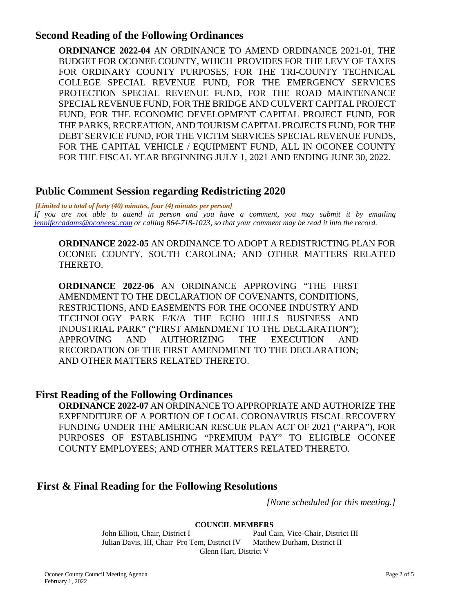#### **Second Reading of the Following Ordinances**

**ORDINANCE 2022-04** AN ORDINANCE TO AMEND ORDINANCE 2021-01, THE BUDGET FOR OCONEE COUNTY, WHICH PROVIDES FOR THE LEVY OF TAXES FOR ORDINARY COUNTY PURPOSES, FOR THE TRI-COUNTY TECHNICAL COLLEGE SPECIAL REVENUE FUND, FOR THE EMERGENCY SERVICES PROTECTION SPECIAL REVENUE FUND, FOR THE ROAD MAINTENANCE SPECIAL REVENUE FUND, FOR THE BRIDGE AND CULVERT CAPITAL PROJECT FUND, FOR THE ECONOMIC DEVELOPMENT CAPITAL PROJECT FUND, FOR THE PARKS, RECREATION, AND TOURISM CAPITAL PROJECTS FUND, FOR THE DEBT SERVICE FUND, FOR THE VICTIM SERVICES SPECIAL REVENUE FUNDS, FOR THE CAPITAL VEHICLE / EQUIPMENT FUND, ALL IN OCONEE COUNTY FOR THE FISCAL YEAR BEGINNING JULY 1, 2021 AND ENDING JUNE 30, 2022.

#### **Public Comment Session regarding Redistricting 2020**

*[Limited to a total of forty (40) minutes, four (4) minutes per person]*

*If you are not able to attend in person and you have a comment, you may submit it by emailing [jennifercadams@oconeesc.com](mailto:jennifercadams@oconeesc.com) or calling 864-718-1023, so that your comment may be read it into the record.*

**ORDINANCE 2022-05** AN ORDINANCE TO ADOPT A REDISTRICTING PLAN FOR OCONEE COUNTY, SOUTH CAROLINA; AND OTHER MATTERS RELATED THERETO.

**ORDINANCE 2022-06** AN ORDINANCE APPROVING "THE FIRST AMENDMENT TO THE DECLARATION OF COVENANTS, CONDITIONS, RESTRICTIONS, AND EASEMENTS FOR THE OCONEE INDUSTRY AND TECHNOLOGY PARK F/K/A THE ECHO HILLS BUSINESS AND INDUSTRIAL PARK" ("FIRST AMENDMENT TO THE DECLARATION"); APPROVING AND AUTHORIZING THE EXECUTION AND RECORDATION OF THE FIRST AMENDMENT TO THE DECLARATION; AND OTHER MATTERS RELATED THERETO.

#### **First Reading of the Following Ordinances**

**ORDINANCE 2022-07** AN ORDINANCE TO APPROPRIATE AND AUTHORIZE THE EXPENDITURE OF A PORTION OF LOCAL CORONAVIRUS FISCAL RECOVERY FUNDING UNDER THE AMERICAN RESCUE PLAN ACT OF 2021 ("ARPA"), FOR PURPOSES OF ESTABLISHING "PREMIUM PAY" TO ELIGIBLE OCONEE COUNTY EMPLOYEES; AND OTHER MATTERS RELATED THERETO.

#### **First & Final Reading for the Following Resolutions**

*[None scheduled for this meeting.]*

**COUNCIL MEMBERS**

John Elliott, Chair, District I<br>Julian Davis, III, Chair Pro Tem, District IV Matthew Durham, District II Julian Davis, III, Chair Pro Tem, District IV Glenn Hart, District V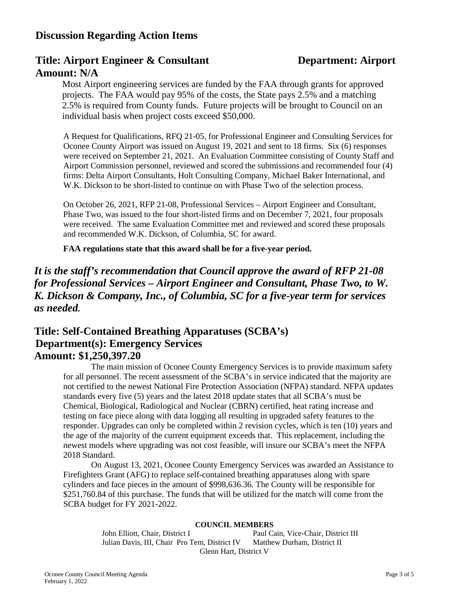#### **Discussion Regarding Action Items**

#### **Title: Airport Engineer & Consultant Department: Airport Amount: N/A**

Most Airport engineering services are funded by the FAA through grants for approved projects. The FAA would pay 95% of the costs, the State pays 2.5% and a matching 2.5% is required from County funds. Future projects will be brought to Council on an individual basis when project costs exceed \$50,000.

A Request for Qualifications, RFQ 21-05, for Professional Engineer and Consulting Services for Oconee County Airport was issued on August 19, 2021 and sent to 18 firms. Six (6) responses were received on September 21, 2021. An Evaluation Committee consisting of County Staff and Airport Commission personnel, reviewed and scored the submissions and recommended four (4) firms: Delta Airport Consultants, Holt Consulting Company, Michael Baker International, and W.K. Dickson to be short-listed to continue on with Phase Two of the selection process.

On October 26, 2021, RFP 21-08, Professional Services – Airport Engineer and Consultant, Phase Two, was issued to the four short-listed firms and on December 7, 2021, four proposals were received. The same Evaluation Committee met and reviewed and scored these proposals and recommended W.K. Dickson, of Columbia, SC for award.

**FAA regulations state that this award shall be for a five-year period.**

### *It is the staff's recommendation that Council approve the award of RFP 21-08 for Professional Services – Airport Engineer and Consultant, Phase Two, to W. K. Dickson & Company, Inc., of Columbia, SC for a five-year term for services as needed.*

#### **Title: Self-Contained Breathing Apparatuses (SCBA's) Department(s): Emergency Services Amount: \$1,250,397.20**

The main mission of Oconee County Emergency Services is to provide maximum safety for all personnel. The recent assessment of the SCBA's in service indicated that the majority are not certified to the newest National Fire Protection Association (NFPA) standard. NFPA updates standards every five (5) years and the latest 2018 update states that all SCBA's must be Chemical, Biological, Radiological and Nuclear (CBRN) certified, heat rating increase and testing on face piece along with data logging all resulting in upgraded safety features to the responder. Upgrades can only be completed within 2 revision cycles, which is ten (10) years and the age of the majority of the current equipment exceeds that. This replacement, including the newest models where upgrading was not cost feasible, will insure our SCBA's meet the NFPA 2018 Standard.

On August 13, 2021, Oconee County Emergency Services was awarded an Assistance to Firefighters Grant (AFG) to replace self-contained breathing apparatuses along with spare cylinders and face pieces in the amount of \$998,636.36. The County will be responsible for \$251,760.84 of this purchase. The funds that will be utilized for the match will come from the SCBA budget for FY 2021-2022.

#### **COUNCIL MEMBERS**

John Elliott, Chair, District I<br>
Julian Davis, III, Chair Pro Tem, District IV Matthew Durham, District II Julian Davis, III, Chair Pro Tem, District IV Glenn Hart, District V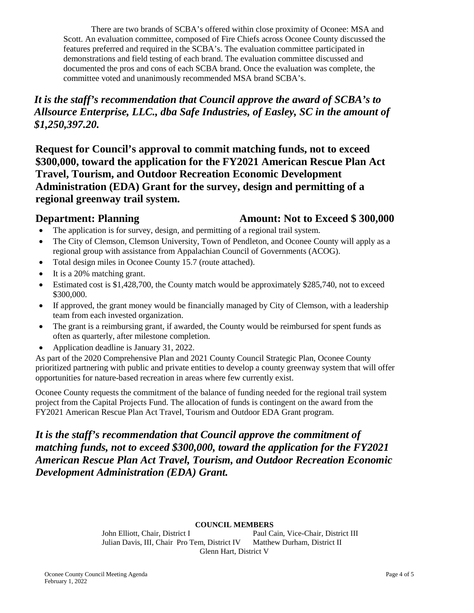There are two brands of SCBA's offered within close proximity of Oconee: MSA and Scott. An evaluation committee, composed of Fire Chiefs across Oconee County discussed the features preferred and required in the SCBA's. The evaluation committee participated in demonstrations and field testing of each brand. The evaluation committee discussed and documented the pros and cons of each SCBA brand. Once the evaluation was complete, the committee voted and unanimously recommended MSA brand SCBA's.

*It is the staff's recommendation that Council approve the award of SCBA's to Allsource Enterprise, LLC., dba Safe Industries, of Easley, SC in the amount of \$1,250,397.20.*

**Request for Council's approval to commit matching funds, not to exceed \$300,000, toward the application for the FY2021 American Rescue Plan Act Travel, Tourism, and Outdoor Recreation Economic Development Administration (EDA) Grant for the survey, design and permitting of a regional greenway trail system.**

#### **Department: Planning Amount: Not to Exceed \$ 300,000**

- The application is for survey, design, and permitting of a regional trail system.
- The City of Clemson, Clemson University, Town of Pendleton, and Oconee County will apply as a regional group with assistance from Appalachian Council of Governments (ACOG).
- Total design miles in Oconee County 15.7 (route attached).
- It is a 20% matching grant.
- Estimated cost is \$1,428,700, the County match would be approximately \$285,740, not to exceed \$300,000.
- If approved, the grant money would be financially managed by City of Clemson, with a leadership team from each invested organization.
- The grant is a reimbursing grant, if awarded, the County would be reimbursed for spent funds as often as quarterly, after milestone completion.
- Application deadline is January 31, 2022.

As part of the 2020 Comprehensive Plan and 2021 County Council Strategic Plan, Oconee County prioritized partnering with public and private entities to develop a county greenway system that will offer opportunities for nature-based recreation in areas where few currently exist.

Oconee County requests the commitment of the balance of funding needed for the regional trail system project from the Capital Projects Fund. The allocation of funds is contingent on the award from the FY2021 American Rescue Plan Act Travel, Tourism and Outdoor EDA Grant program.

# *It is the staff's recommendation that Council approve the commitment of matching funds, not to exceed \$300,000, toward the application for the FY2021 American Rescue Plan Act Travel, Tourism, and Outdoor Recreation Economic Development Administration (EDA) Grant.*

#### **COUNCIL MEMBERS**

John Elliott, Chair, District I<br>
Julian Davis, III, Chair Pro Tem, District IV Matthew Durham, District II Julian Davis, III, Chair Pro Tem, District IV Glenn Hart, District V